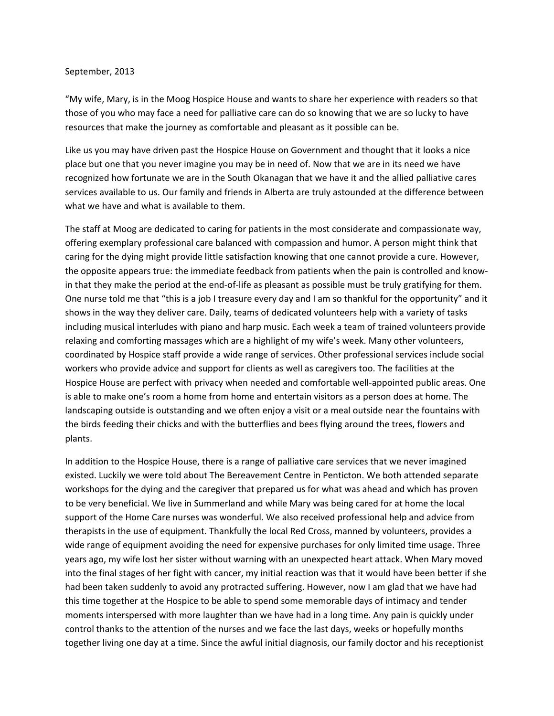## September, 2013

"My wife, Mary, is in the Moog Hospice House and wants to share her experience with readers so that those of you who may face a need for palliative care can do so knowing that we are so lucky to have resources that make the journey as comfortable and pleasant as it possible can be.

Like us you may have driven past the Hospice House on Government and thought that it looks a nice place but one that you never imagine you may be in need of. Now that we are in its need we have recognized how fortunate we are in the South Okanagan that we have it and the allied palliative cares services available to us. Our family and friends in Alberta are truly astounded at the difference between what we have and what is available to them.

The staff at Moog are dedicated to caring for patients in the most considerate and compassionate way, offering exemplary professional care balanced with compassion and humor. A person might think that caring for the dying might provide little satisfaction knowing that one cannot provide a cure. However, the opposite appears true: the immediate feedback from patients when the pain is controlled and knowin that they make the period at the end‐of‐life as pleasant as possible must be truly gratifying for them. One nurse told me that "this is a job I treasure every day and I am so thankful for the opportunity" and it shows in the way they deliver care. Daily, teams of dedicated volunteers help with a variety of tasks including musical interludes with piano and harp music. Each week a team of trained volunteers provide relaxing and comforting massages which are a highlight of my wife's week. Many other volunteers, coordinated by Hospice staff provide a wide range of services. Other professional services include social workers who provide advice and support for clients as well as caregivers too. The facilities at the Hospice House are perfect with privacy when needed and comfortable well‐appointed public areas. One is able to make one's room a home from home and entertain visitors as a person does at home. The landscaping outside is outstanding and we often enjoy a visit or a meal outside near the fountains with the birds feeding their chicks and with the butterflies and bees flying around the trees, flowers and plants.

In addition to the Hospice House, there is a range of palliative care services that we never imagined existed. Luckily we were told about The Bereavement Centre in Penticton. We both attended separate workshops for the dying and the caregiver that prepared us for what was ahead and which has proven to be very beneficial. We live in Summerland and while Mary was being cared for at home the local support of the Home Care nurses was wonderful. We also received professional help and advice from therapists in the use of equipment. Thankfully the local Red Cross, manned by volunteers, provides a wide range of equipment avoiding the need for expensive purchases for only limited time usage. Three years ago, my wife lost her sister without warning with an unexpected heart attack. When Mary moved into the final stages of her fight with cancer, my initial reaction was that it would have been better if she had been taken suddenly to avoid any protracted suffering. However, now I am glad that we have had this time together at the Hospice to be able to spend some memorable days of intimacy and tender moments interspersed with more laughter than we have had in a long time. Any pain is quickly under control thanks to the attention of the nurses and we face the last days, weeks or hopefully months together living one day at a time. Since the awful initial diagnosis, our family doctor and his receptionist